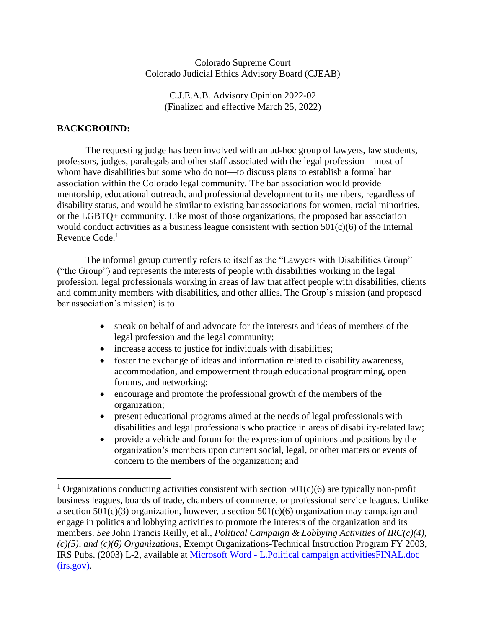### Colorado Supreme Court Colorado Judicial Ethics Advisory Board (CJEAB)

C.J.E.A.B. Advisory Opinion 2022-02 (Finalized and effective March 25, 2022)

## **BACKGROUND:**

 $\overline{a}$ 

The requesting judge has been involved with an ad-hoc group of lawyers, law students, professors, judges, paralegals and other staff associated with the legal profession—most of whom have disabilities but some who do not—to discuss plans to establish a formal bar association within the Colorado legal community. The bar association would provide mentorship, educational outreach, and professional development to its members, regardless of disability status, and would be similar to existing bar associations for women, racial minorities, or the LGBTQ+ community. Like most of those organizations, the proposed bar association would conduct activities as a business league consistent with section 501(c)(6) of the Internal Revenue Code.<sup>1</sup>

The informal group currently refers to itself as the "Lawyers with Disabilities Group" ("the Group") and represents the interests of people with disabilities working in the legal profession, legal professionals working in areas of law that affect people with disabilities, clients and community members with disabilities, and other allies. The Group's mission (and proposed bar association's mission) is to

- speak on behalf of and advocate for the interests and ideas of members of the legal profession and the legal community;
- increase access to justice for individuals with disabilities;
- foster the exchange of ideas and information related to disability awareness, accommodation, and empowerment through educational programming, open forums, and networking;
- encourage and promote the professional growth of the members of the organization;
- present educational programs aimed at the needs of legal professionals with disabilities and legal professionals who practice in areas of disability-related law;
- provide a vehicle and forum for the expression of opinions and positions by the organization's members upon current social, legal, or other matters or events of concern to the members of the organization; and

<sup>&</sup>lt;sup>1</sup> Organizations conducting activities consistent with section  $501(c)(6)$  are typically non-profit business leagues, boards of trade, chambers of commerce, or professional service leagues. Unlike a section 501(c)(3) organization, however, a section 501(c)(6) organization may campaign and engage in politics and lobbying activities to promote the interests of the organization and its members. *See* John Francis Reilly, et al., *Political Campaign & Lobbying Activities of IRC(c)(4), (c)(5), and (c)(6) Organizations*, Exempt Organizations-Technical Instruction Program FY 2003, IRS Pubs. (2003) L-2, available at Microsoft Word - [L.Political campaign activitiesFINAL.doc](https://www.irs.gov/pub/irs-tege/eotopicl03.pdf)  [\(irs.gov\).](https://www.irs.gov/pub/irs-tege/eotopicl03.pdf)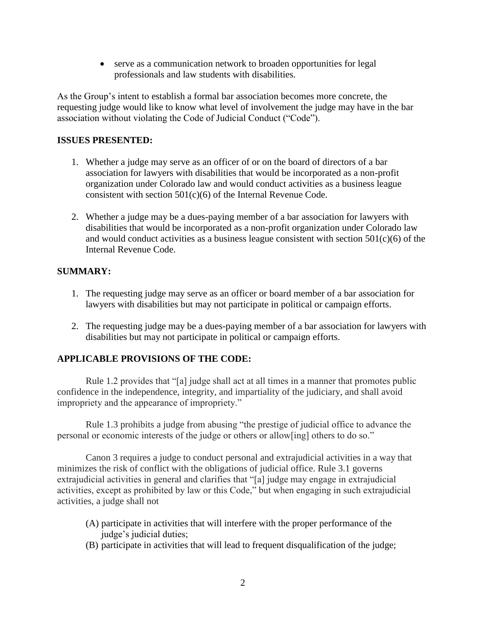• serve as a communication network to broaden opportunities for legal professionals and law students with disabilities.

As the Group's intent to establish a formal bar association becomes more concrete, the requesting judge would like to know what level of involvement the judge may have in the bar association without violating the Code of Judicial Conduct ("Code").

## **ISSUES PRESENTED:**

- 1. Whether a judge may serve as an officer of or on the board of directors of a bar association for lawyers with disabilities that would be incorporated as a non-profit organization under Colorado law and would conduct activities as a business league consistent with section 501(c)(6) of the Internal Revenue Code.
- 2. Whether a judge may be a dues-paying member of a bar association for lawyers with disabilities that would be incorporated as a non-profit organization under Colorado law and would conduct activities as a business league consistent with section  $501(c)(6)$  of the Internal Revenue Code.

## **SUMMARY:**

- 1. The requesting judge may serve as an officer or board member of a bar association for lawyers with disabilities but may not participate in political or campaign efforts.
- 2. The requesting judge may be a dues-paying member of a bar association for lawyers with disabilities but may not participate in political or campaign efforts.

# **APPLICABLE PROVISIONS OF THE CODE:**

Rule 1.2 provides that "[a] judge shall act at all times in a manner that promotes public confidence in the independence, integrity, and impartiality of the judiciary, and shall avoid impropriety and the appearance of impropriety."

Rule 1.3 prohibits a judge from abusing "the prestige of judicial office to advance the personal or economic interests of the judge or others or allow[ing] others to do so."

Canon 3 requires a judge to conduct personal and extrajudicial activities in a way that minimizes the risk of conflict with the obligations of judicial office. Rule 3.1 governs extrajudicial activities in general and clarifies that "[a] judge may engage in extrajudicial activities, except as prohibited by law or this Code," but when engaging in such extrajudicial activities, a judge shall not

- (A) participate in activities that will interfere with the proper performance of the judge's judicial duties;
- (B) participate in activities that will lead to frequent disqualification of the judge;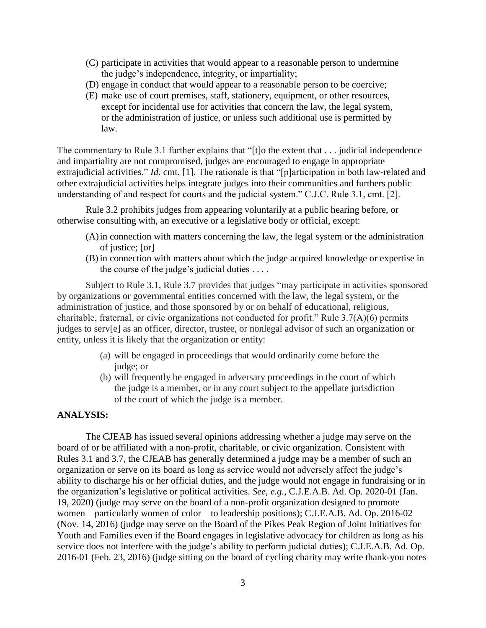- (C) participate in activities that would appear to a reasonable person to undermine the judge's independence, integrity, or impartiality;
- (D) engage in conduct that would appear to a reasonable person to be coercive;
- (E) make use of court premises, staff, stationery, equipment, or other resources, except for incidental use for activities that concern the law, the legal system, or the administration of justice, or unless such additional use is permitted by law.

The commentary to Rule 3.1 further explains that "[t]o the extent that . . . judicial independence and impartiality are not compromised, judges are encouraged to engage in appropriate extrajudicial activities." *Id.* cmt. [1]. The rationale is that "[p]articipation in both law-related and other extrajudicial activities helps integrate judges into their communities and furthers public understanding of and respect for courts and the judicial system." C.J.C. Rule 3.1, cmt. [2].

Rule 3.2 prohibits judges from appearing voluntarily at a public hearing before, or otherwise consulting with, an executive or a legislative body or official, except:

- (A)in connection with matters concerning the law, the legal system or the administration of justice; [or]
- (B) in connection with matters about which the judge acquired knowledge or expertise in the course of the judge's judicial duties . . . .

Subject to Rule 3.1, Rule 3.7 provides that judges "may participate in activities sponsored by organizations or governmental entities concerned with the law, the legal system, or the administration of justice, and those sponsored by or on behalf of educational, religious, charitable, fraternal, or civic organizations not conducted for profit." Rule 3.7(A)(6) permits judges to serv[e] as an officer, director, trustee, or nonlegal advisor of such an organization or entity, unless it is likely that the organization or entity:

- (a) will be engaged in proceedings that would ordinarily come before the judge; or
- (b) will frequently be engaged in adversary proceedings in the court of which the judge is a member, or in any court subject to the appellate jurisdiction of the court of which the judge is a member.

#### **ANALYSIS:**

The CJEAB has issued several opinions addressing whether a judge may serve on the board of or be affiliated with a non-profit, charitable, or civic organization. Consistent with Rules 3.1 and 3.7, the CJEAB has generally determined a judge may be a member of such an organization or serve on its board as long as service would not adversely affect the judge's ability to discharge his or her official duties, and the judge would not engage in fundraising or in the organization's legislative or political activities. *See, e.g.*, C.J.E.A.B. Ad. Op. 2020-01 (Jan. 19, 2020) (judge may serve on the board of a non-profit organization designed to promote women—particularly women of color—to leadership positions); C.J.E.A.B. Ad. Op. 2016-02 (Nov. 14, 2016) (judge may serve on the Board of the Pikes Peak Region of Joint Initiatives for Youth and Families even if the Board engages in legislative advocacy for children as long as his service does not interfere with the judge's ability to perform judicial duties); C.J.E.A.B. Ad. Op. 2016-01 (Feb. 23, 2016) (judge sitting on the board of cycling charity may write thank-you notes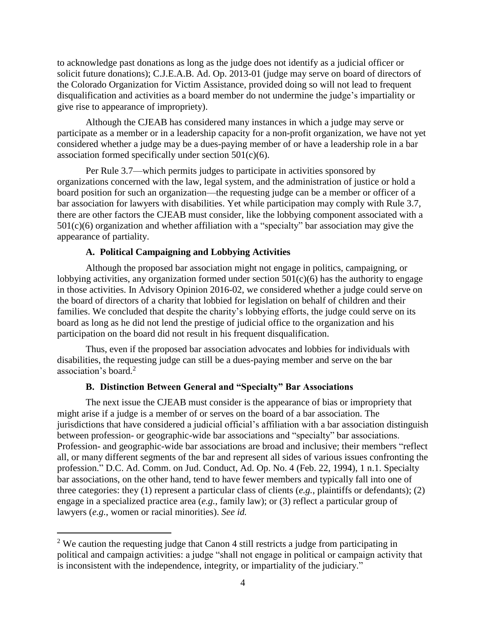to acknowledge past donations as long as the judge does not identify as a judicial officer or solicit future donations); C.J.E.A.B. Ad. Op. 2013-01 (judge may serve on board of directors of the Colorado Organization for Victim Assistance, provided doing so will not lead to frequent disqualification and activities as a board member do not undermine the judge's impartiality or give rise to appearance of impropriety).

Although the CJEAB has considered many instances in which a judge may serve or participate as a member or in a leadership capacity for a non-profit organization, we have not yet considered whether a judge may be a dues-paying member of or have a leadership role in a bar association formed specifically under section  $501(c)(6)$ .

Per Rule 3.7—which permits judges to participate in activities sponsored by organizations concerned with the law, legal system, and the administration of justice or hold a board position for such an organization—the requesting judge can be a member or officer of a bar association for lawyers with disabilities. Yet while participation may comply with Rule 3.7, there are other factors the CJEAB must consider, like the lobbying component associated with a 501(c)(6) organization and whether affiliation with a "specialty" bar association may give the appearance of partiality.

### **A. Political Campaigning and Lobbying Activities**

 $\overline{a}$ 

Although the proposed bar association might not engage in politics, campaigning, or lobbying activities, any organization formed under section  $501(c)(6)$  has the authority to engage in those activities. In Advisory Opinion 2016-02, we considered whether a judge could serve on the board of directors of a charity that lobbied for legislation on behalf of children and their families. We concluded that despite the charity's lobbying efforts, the judge could serve on its board as long as he did not lend the prestige of judicial office to the organization and his participation on the board did not result in his frequent disqualification.

Thus, even if the proposed bar association advocates and lobbies for individuals with disabilities, the requesting judge can still be a dues-paying member and serve on the bar association's board. 2

# **B. Distinction Between General and "Specialty" Bar Associations**

The next issue the CJEAB must consider is the appearance of bias or impropriety that might arise if a judge is a member of or serves on the board of a bar association. The jurisdictions that have considered a judicial official's affiliation with a bar association distinguish between profession- or geographic-wide bar associations and "specialty" bar associations. Profession- and geographic-wide bar associations are broad and inclusive; their members "reflect all, or many different segments of the bar and represent all sides of various issues confronting the profession." D.C. Ad. Comm. on Jud. Conduct, Ad. Op. No. 4 (Feb. 22, 1994), 1 n.1. Specialty bar associations, on the other hand, tend to have fewer members and typically fall into one of three categories: they (1) represent a particular class of clients (*e.g.*, plaintiffs or defendants); (2) engage in a specialized practice area (*e.g.*, family law); or (3) reflect a particular group of lawyers (*e.g.*, women or racial minorities). *See id.*

<sup>&</sup>lt;sup>2</sup> We caution the requesting judge that Canon 4 still restricts a judge from participating in political and campaign activities: a judge "shall not engage in political or campaign activity that is inconsistent with the independence, integrity, or impartiality of the judiciary."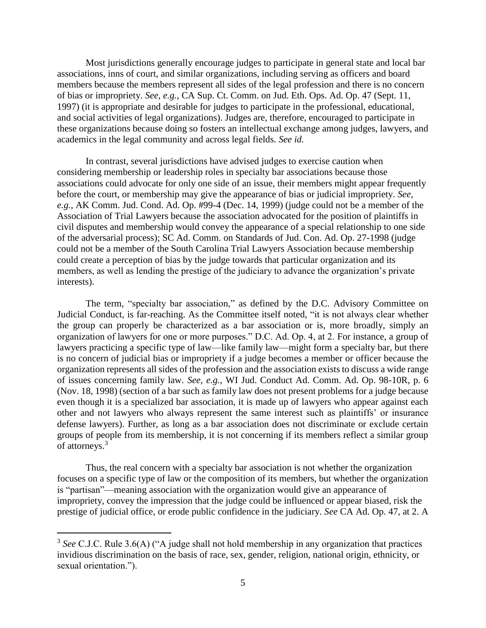Most jurisdictions generally encourage judges to participate in general state and local bar associations, inns of court, and similar organizations, including serving as officers and board members because the members represent all sides of the legal profession and there is no concern of bias or impropriety. *See, e.g.*, CA Sup. Ct. Comm. on Jud. Eth. Ops. Ad. Op. 47 (Sept. 11, 1997) (it is appropriate and desirable for judges to participate in the professional, educational, and social activities of legal organizations). Judges are, therefore, encouraged to participate in these organizations because doing so fosters an intellectual exchange among judges, lawyers, and academics in the legal community and across legal fields. *See id.*

In contrast, several jurisdictions have advised judges to exercise caution when considering membership or leadership roles in specialty bar associations because those associations could advocate for only one side of an issue, their members might appear frequently before the court, or membership may give the appearance of bias or judicial impropriety. *See, e.g.*, AK Comm. Jud. Cond. Ad. Op. #99-4 (Dec. 14, 1999) (judge could not be a member of the Association of Trial Lawyers because the association advocated for the position of plaintiffs in civil disputes and membership would convey the appearance of a special relationship to one side of the adversarial process); SC Ad. Comm. on Standards of Jud. Con. Ad. Op. 27-1998 (judge could not be a member of the South Carolina Trial Lawyers Association because membership could create a perception of bias by the judge towards that particular organization and its members, as well as lending the prestige of the judiciary to advance the organization's private interests).

The term, "specialty bar association," as defined by the D.C. Advisory Committee on Judicial Conduct, is far-reaching. As the Committee itself noted, "it is not always clear whether the group can properly be characterized as a bar association or is, more broadly, simply an organization of lawyers for one or more purposes." D.C. Ad. Op. 4, at 2. For instance, a group of lawyers practicing a specific type of law—like family law—might form a specialty bar, but there is no concern of judicial bias or impropriety if a judge becomes a member or officer because the organization represents all sides of the profession and the association exists to discuss a wide range of issues concerning family law. *See, e.g.*, WI Jud. Conduct Ad. Comm. Ad. Op. 98-10R, p. 6 (Nov. 18, 1998) (section of a bar such as family law does not present problems for a judge because even though it is a specialized bar association, it is made up of lawyers who appear against each other and not lawyers who always represent the same interest such as plaintiffs' or insurance defense lawyers). Further, as long as a bar association does not discriminate or exclude certain groups of people from its membership, it is not concerning if its members reflect a similar group of attorneys.<sup>3</sup>

Thus, the real concern with a specialty bar association is not whether the organization focuses on a specific type of law or the composition of its members, but whether the organization is "partisan"—meaning association with the organization would give an appearance of impropriety, convey the impression that the judge could be influenced or appear biased, risk the prestige of judicial office, or erode public confidence in the judiciary. *See* CA Ad. Op. 47, at 2. A

 $\overline{a}$ 

<sup>&</sup>lt;sup>3</sup> See C.J.C. Rule 3.6(A) ("A judge shall not hold membership in any organization that practices invidious discrimination on the basis of race, sex, gender, religion, national origin, ethnicity, or sexual orientation.").